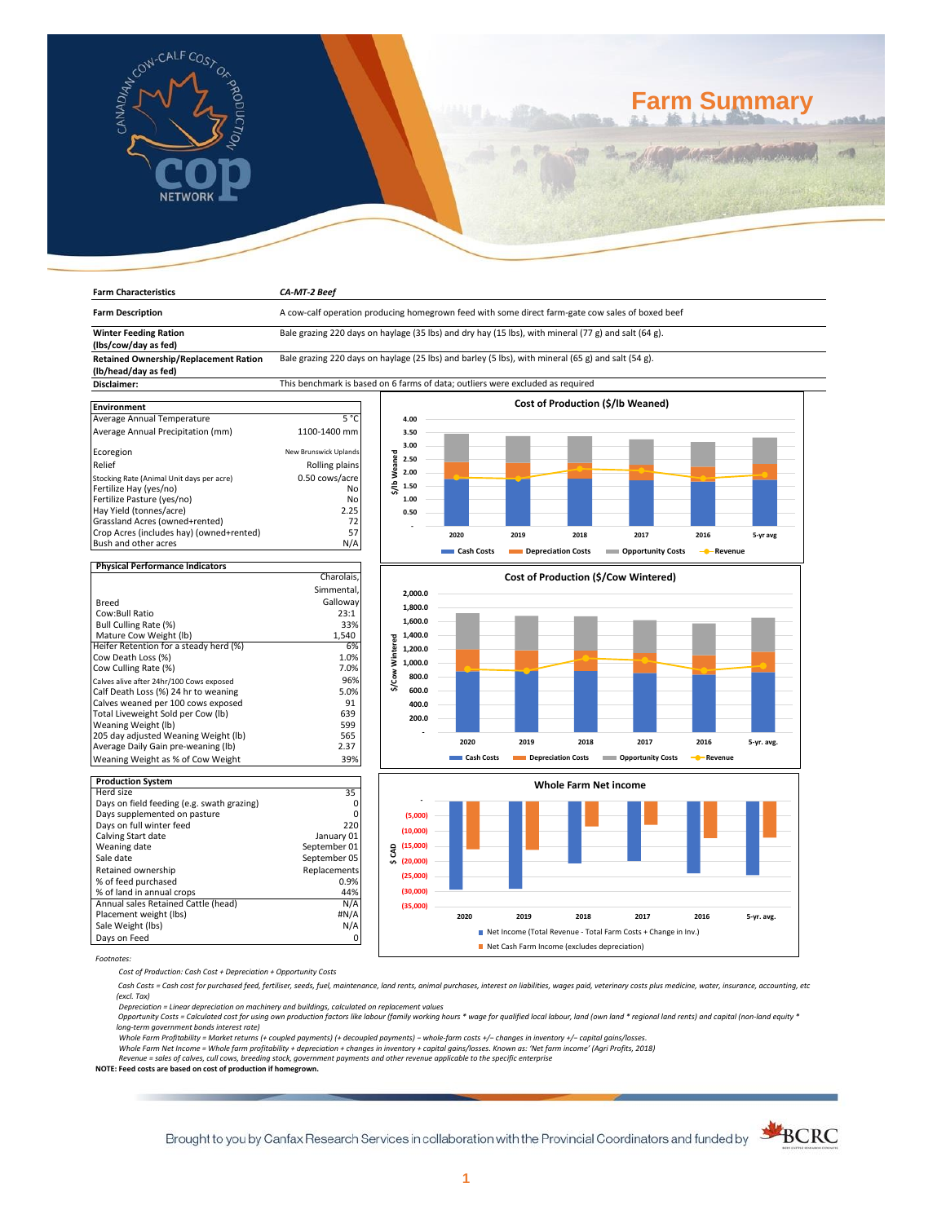

**Farm Characteristics** *CA-MT-2 Beef*

# **Farm Summary**

| <b>Farm Description</b>                                              | A cow-calf operation producing homegrown feed with some direct farm-gate cow sales of boxed beef     |                         |            |                    |      |                                                                |           |            |  |
|----------------------------------------------------------------------|------------------------------------------------------------------------------------------------------|-------------------------|------------|--------------------|------|----------------------------------------------------------------|-----------|------------|--|
| <b>Winter Feeding Ration</b><br>(lbs/cow/day as fed)                 | Bale grazing 220 days on haylage (35 lbs) and dry hay (15 lbs), with mineral (77 g) and salt (64 g). |                         |            |                    |      |                                                                |           |            |  |
| <b>Retained Ownership/Replacement Ration</b><br>(lb/head/day as fed) | Bale grazing 220 days on haylage (25 lbs) and barley (5 lbs), with mineral (65 g) and salt (54 g).   |                         |            |                    |      |                                                                |           |            |  |
| Disclaimer:                                                          | This benchmark is based on 6 farms of data; outliers were excluded as required                       |                         |            |                    |      |                                                                |           |            |  |
|                                                                      |                                                                                                      |                         |            |                    |      |                                                                |           |            |  |
| <b>Environment</b>                                                   |                                                                                                      |                         |            |                    |      | Cost of Production (\$/lb Weaned)                              |           |            |  |
| Average Annual Temperature                                           | $5^{\circ}$ C                                                                                        | 4.00                    |            |                    |      |                                                                |           |            |  |
| Average Annual Precipitation (mm)                                    | 1100-1400 mm                                                                                         | 3.50                    |            |                    |      |                                                                |           |            |  |
| Ecoregion                                                            | New Brunswick Uplands                                                                                | 3.00                    |            |                    |      |                                                                |           |            |  |
| Relief                                                               | Rolling plains                                                                                       | \$/Ib Weaned<br>2.50    |            |                    |      |                                                                |           |            |  |
| Stocking Rate (Animal Unit days per acre)                            | 0.50 cows/acre                                                                                       | 2.00                    |            |                    |      |                                                                |           |            |  |
| Fertilize Hay (yes/no)                                               | No                                                                                                   | 1.50                    |            |                    |      |                                                                |           |            |  |
| Fertilize Pasture (yes/no)                                           | No                                                                                                   | 1.00                    |            |                    |      |                                                                |           |            |  |
| Hay Yield (tonnes/acre)                                              | 2.25                                                                                                 | 0.50                    |            |                    |      |                                                                |           |            |  |
| Grassland Acres (owned+rented)                                       | 72                                                                                                   |                         |            |                    |      |                                                                |           |            |  |
| Crop Acres (includes hay) (owned+rented)                             | 57                                                                                                   |                         |            |                    |      |                                                                |           |            |  |
| Bush and other acres                                                 | N/A                                                                                                  |                         | 2020       | 2019               | 2018 | 2017                                                           | 2016      | 5-yr avg   |  |
|                                                                      |                                                                                                      |                         | Cash Costs | Depreciation Costs |      | <b>Opportunity Costs</b>                                       | - Revenue |            |  |
| <b>Physical Performance Indicators</b>                               |                                                                                                      |                         |            |                    |      |                                                                |           |            |  |
|                                                                      | Charolais.                                                                                           |                         |            |                    |      | Cost of Production (\$/Cow Wintered)                           |           |            |  |
|                                                                      | Simmental                                                                                            | 2,000.0                 |            |                    |      |                                                                |           |            |  |
| <b>Breed</b>                                                         | Galloway                                                                                             |                         |            |                    |      |                                                                |           |            |  |
| Cow:Bull Ratio                                                       | 23:1                                                                                                 | 1,800.0                 |            |                    |      |                                                                |           |            |  |
| Bull Culling Rate (%)                                                | 33%                                                                                                  | 1,600.0                 |            |                    |      |                                                                |           |            |  |
| Mature Cow Weight (lb)                                               | 1,540                                                                                                | 1,400.0                 |            |                    |      |                                                                |           |            |  |
| Heifer Retention for a steady herd (%)                               | 6%                                                                                                   | Wintered<br>1,200.0     |            |                    |      |                                                                |           |            |  |
| Cow Death Loss (%)                                                   | 1.0%                                                                                                 |                         |            |                    |      |                                                                |           |            |  |
| Cow Culling Rate (%)                                                 | 7.0%                                                                                                 | 1,000.0                 |            |                    |      |                                                                |           |            |  |
| Calves alive after 24hr/100 Cows exposed                             | 96%                                                                                                  | \$/Cow<br>800.0         |            |                    |      |                                                                |           |            |  |
| Calf Death Loss (%) 24 hr to weaning                                 | 5.0%                                                                                                 | 600.0                   |            |                    |      |                                                                |           |            |  |
| Calves weaned per 100 cows exposed                                   | 91                                                                                                   | 400.0                   |            |                    |      |                                                                |           |            |  |
| Total Liveweight Sold per Cow (lb)                                   | 639                                                                                                  |                         |            |                    |      |                                                                |           |            |  |
| Weaning Weight (lb)                                                  | 599                                                                                                  | 200.0                   |            |                    |      |                                                                |           |            |  |
| 205 day adjusted Weaning Weight (lb)                                 | 565                                                                                                  |                         |            |                    |      |                                                                |           |            |  |
| Average Daily Gain pre-weaning (lb)                                  | 2.37                                                                                                 |                         | 2020       | 2019               | 2018 | 2017                                                           | 2016      | 5-yr. avg. |  |
| Weaning Weight as % of Cow Weight                                    | 39%                                                                                                  |                         | Cash Costs | Depreciation Costs |      | <b>Copportunity Costs</b>                                      | - Revenue |            |  |
|                                                                      |                                                                                                      |                         |            |                    |      |                                                                |           |            |  |
| <b>Production System</b>                                             |                                                                                                      |                         |            |                    |      | <b>Whole Farm Net income</b>                                   |           |            |  |
| Herd size                                                            | 35                                                                                                   |                         |            |                    |      |                                                                |           |            |  |
| Days on field feeding (e.g. swath grazing)                           | 0                                                                                                    |                         |            |                    |      |                                                                |           |            |  |
| Days supplemented on pasture                                         | $\Omega$                                                                                             | (5,000)                 |            |                    |      |                                                                |           |            |  |
| Days on full winter feed                                             | 220                                                                                                  | (10,000)                |            |                    |      |                                                                |           |            |  |
| Calving Start date                                                   | January 01                                                                                           |                         |            |                    |      |                                                                |           |            |  |
| Weaning date                                                         | September 01                                                                                         | (15,000)<br>$\mathsf g$ |            |                    |      |                                                                |           |            |  |
| Sale date                                                            | September 05                                                                                         | $\sqrt{20,000}$         |            |                    |      |                                                                |           |            |  |
| Retained ownership                                                   | Replacements                                                                                         | (25,000)                |            |                    |      |                                                                |           |            |  |
| % of feed purchased                                                  | 0.9%                                                                                                 |                         |            |                    |      |                                                                |           |            |  |
| % of land in annual crops                                            | 44%                                                                                                  | (30,000)                |            |                    |      |                                                                |           |            |  |
| Annual sales Retained Cattle (head)                                  | N/A                                                                                                  | (35,000)                |            |                    |      |                                                                |           |            |  |
| Placement weight (lbs)                                               | #N/A                                                                                                 |                         | 2020       | 2019               | 2018 | 2017                                                           | 2016      | 5-yr. avg. |  |
| Sale Weight (lbs)                                                    | N/A                                                                                                  |                         |            |                    |      | Net Income (Total Revenue - Total Farm Costs + Change in Inv.) |           |            |  |
| Days on Feed                                                         | 0                                                                                                    |                         |            |                    |      |                                                                |           |            |  |
|                                                                      | Net Cash Farm Income (excludes depreciation)                                                         |                         |            |                    |      |                                                                |           |            |  |

*Footnotes:*

*Cost of Production: Cash Cost + Depreciation + Opportunity Costs*

 *Cash Costs = Cash cost for purchased feed, fertiliser, seeds, fuel, maintenance, land rents, animal purchases, interest on liabilities, wages paid, veterinary costs plus medicine, water, insurance, accounting, etc (excl. Tax)* 

Depreciation = Linear depreciation on machinery and buildings, calculated on replacement values<br>Opportunity Costs = Calculated cost for using own production factors like labour (family working hours \* wage for qualified lo

*long-term government bonds interest rate)* 

Whole Farm Profitability = Market returns (+ coupled payments) (+ decoupled payments) – whole-farm costs +/– changes in inventory +/– capital gains/losses.<br>Whole Farm Net Income = Whole farm profitability + depreciation +

*Revenue = sales of calves, cull cows, breeding stock, government payments and other revenue applicable to the specific enterprise* **NOTE: Feed costs are based on cost of production if homegrown.**

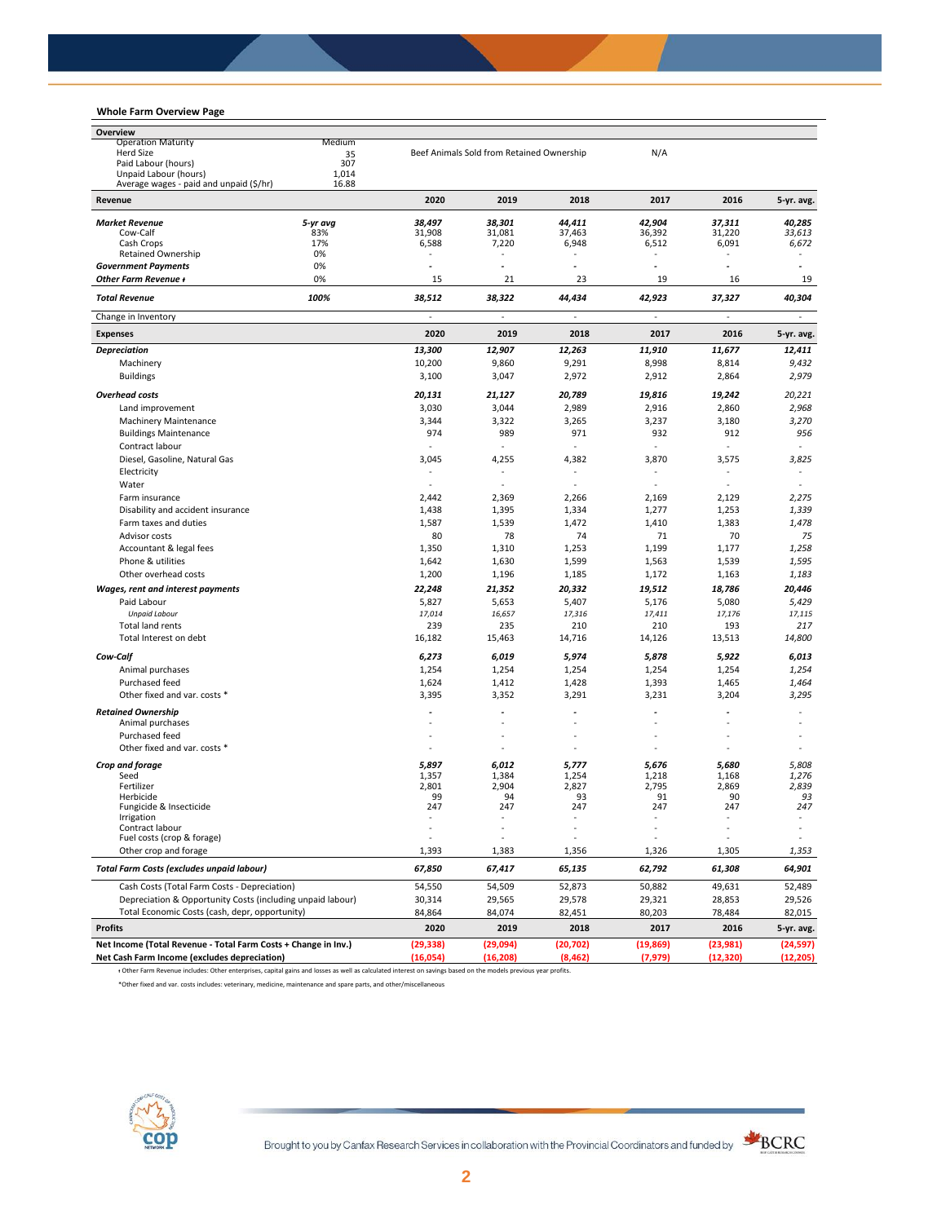## **Whole Farm Overview Page**

| Overview                                                       |          |                          |                                           |             |                       |                          |                |
|----------------------------------------------------------------|----------|--------------------------|-------------------------------------------|-------------|-----------------------|--------------------------|----------------|
| <b>Operation Maturity</b><br>Medium                            |          |                          |                                           |             |                       |                          |                |
| <b>Herd Size</b><br>35<br>307                                  |          |                          | Beef Animals Sold from Retained Ownership |             | N/A                   |                          |                |
| Paid Labour (hours)<br>Unpaid Labour (hours)                   | 1,014    |                          |                                           |             |                       |                          |                |
| Average wages - paid and unpaid (\$/hr)                        | 16.88    |                          |                                           |             |                       |                          |                |
| Revenue                                                        |          | 2020                     | 2019                                      | 2018        | 2017                  | 2016                     | 5-yr. avg.     |
| <b>Market Revenue</b>                                          | 5-yr avg | 38,497                   | 38,301                                    | 44,411      | 42,904                | 37,311                   | 40,285         |
| Cow-Calf                                                       | 83%      | 31,908                   | 31,081                                    | 37.463      | 36,392                | 31,220                   | 33,613         |
| Cash Crops                                                     | 17%      | 6,588                    | 7,220                                     | 6,948       | 6,512                 | 6,091                    | 6,672          |
| <b>Retained Ownership</b>                                      | 0%       | ٠                        |                                           |             | $\sim$                |                          |                |
| <b>Government Payments</b>                                     | 0%       | $\overline{a}$           | ä,                                        | ٠           | $\tilde{\phantom{a}}$ | ٠                        |                |
| Other Farm Revenue +                                           | 0%       | 15                       | 21                                        | 23          | 19                    | 16                       | 19             |
| <b>Total Revenue</b>                                           | 100%     | 38,512                   | 38,322                                    | 44,434      | 42,923                | 37,327                   | 40,304         |
| Change in Inventory                                            |          |                          |                                           |             |                       |                          |                |
| <b>Expenses</b>                                                |          | 2020                     | 2019                                      | 2018        | 2017                  | 2016                     | 5-yr. avg.     |
| <b>Depreciation</b>                                            |          | 13,300                   | 12,907                                    | 12,263      | 11,910                | 11,677                   | 12,411         |
| Machinery                                                      |          | 10,200                   | 9,860                                     | 9,291       | 8,998                 | 8,814                    | 9,432          |
| <b>Buildings</b>                                               |          | 3,100                    | 3,047                                     | 2,972       | 2,912                 | 2,864                    | 2,979          |
| <b>Overhead costs</b>                                          |          | 20,131                   | 21,127                                    | 20,789      | 19,816                | 19,242                   | 20,221         |
| Land improvement                                               |          | 3,030                    | 3,044                                     | 2,989       | 2,916                 | 2,860                    | 2,968          |
| Machinery Maintenance                                          |          | 3,344                    | 3,322                                     | 3,265       | 3,237                 | 3,180                    | 3,270          |
| <b>Buildings Maintenance</b>                                   |          | 974                      | 989                                       | 971         | 932                   | 912                      | 956            |
| Contract labour                                                |          | $\overline{\phantom{a}}$ | $\overline{a}$                            |             | ÷.                    | $\overline{\phantom{a}}$ | ÷              |
| Diesel, Gasoline, Natural Gas                                  |          | 3,045                    | 4,255                                     | 4,382       | 3,870                 | 3,575                    | 3,825          |
| Electricity                                                    |          | $\overline{\phantom{a}}$ | ä,                                        |             | $\sim$                |                          | $\blacksquare$ |
| Water                                                          |          | $\overline{\phantom{a}}$ |                                           |             | $\overline{a}$        |                          |                |
| Farm insurance                                                 |          | 2,442                    | 2,369                                     | 2,266       | 2,169                 | 2,129                    | 2,275          |
| Disability and accident insurance                              |          | 1,438                    | 1,395                                     | 1,334       | 1,277                 | 1,253                    | 1,339          |
| Farm taxes and duties                                          |          | 1,587                    | 1,539                                     | 1,472       | 1,410                 | 1,383                    | 1,478          |
| Advisor costs                                                  |          | 80                       | 78                                        | 74          | 71                    | 70                       | 75             |
| Accountant & legal fees                                        |          | 1,350                    | 1,310                                     | 1,253       | 1,199                 | 1,177                    | 1,258          |
| Phone & utilities                                              |          | 1,642                    | 1,630                                     | 1,599       | 1,563                 | 1,539                    | 1,595          |
| Other overhead costs                                           |          | 1,200                    | 1,196                                     | 1,185       | 1,172                 | 1,163                    | 1,183          |
| Wages, rent and interest payments                              |          | 22,248                   | 21,352                                    | 20,332      | 19,512                | 18,786                   | 20,446         |
| Paid Labour                                                    |          | 5,827                    | 5,653                                     | 5,407       | 5,176                 | 5,080                    | 5,429          |
| <b>Unpaid Labour</b>                                           |          | 17,014                   | 16,657                                    | 17,316      | 17,411                | 17,176                   | 17,115         |
| <b>Total land rents</b><br>Total Interest on debt              |          | 239                      | 235                                       | 210         | 210                   | 193                      | 217            |
|                                                                |          | 16,182                   | 15,463                                    | 14,716      | 14,126                | 13,513                   | 14,800         |
| Cow-Calf                                                       |          | 6,273                    | 6,019                                     | 5,974       | 5,878                 | 5,922                    | 6,013          |
| Animal purchases                                               |          | 1,254                    | 1,254                                     | 1,254       | 1,254                 | 1,254                    | 1,254          |
| Purchased feed                                                 |          | 1,624                    | 1,412                                     | 1,428       | 1,393                 | 1,465                    | 1,464          |
| Other fixed and var. costs *                                   |          | 3,395                    | 3,352                                     | 3,291       | 3,231                 | 3,204                    | 3,295          |
| <b>Retained Ownership</b>                                      |          | ٠                        |                                           |             |                       |                          |                |
| Animal purchases                                               |          |                          |                                           |             |                       |                          |                |
| Purchased feed                                                 |          | $\overline{\phantom{a}}$ |                                           |             | ٠.                    |                          | ÷              |
| Other fixed and var. costs *                                   |          | $\sim$                   |                                           |             |                       |                          |                |
| Crop and forage                                                |          | 5,897                    | 6,012                                     | 5,777       | 5,676                 | 5,680                    | 5,808          |
| Seed                                                           |          | 1,357                    | 1,384                                     | 1,254       | 1,218                 | 1,168                    | 1,276          |
| Fertilizer<br>Herbicide                                        |          | 2,801<br>99              | 2,904<br>94                               | 2,827<br>93 | 2,795<br>91           | 2,869<br>90              | 2,839<br>93    |
| Fungicide & Insecticide                                        |          | 247                      | 247                                       | 247         | 247                   | 247                      | 247            |
| migation                                                       |          |                          |                                           |             |                       |                          |                |
| Contract labour                                                |          | ÷,                       |                                           |             | ÷,                    |                          |                |
| Fuel costs (crop & forage)<br>Other crop and forage            |          | 1,393                    | 1,383                                     | 1,356       | 1,326                 | 1,305                    | 1,353          |
| <b>Total Farm Costs (excludes unpaid labour)</b>               |          | 67,850                   | 67,417                                    | 65,135      | 62,792                | 61,308                   | 64,901         |
| Cash Costs (Total Farm Costs - Depreciation)                   |          | 54,550                   | 54,509                                    | 52,873      | 50,882                | 49,631                   | 52,489         |
| Depreciation & Opportunity Costs (including unpaid labour)     |          | 30,314                   | 29,565                                    | 29,578      | 29,321                | 28,853                   | 29,526         |
| Total Economic Costs (cash, depr, opportunity)                 |          | 84,864                   | 84,074                                    | 82,451      | 80,203                | 78,484                   | 82,015         |
| <b>Profits</b>                                                 |          | 2020                     | 2019                                      | 2018        | 2017                  | 2016                     | 5-yr. avg.     |
| Net Income (Total Revenue - Total Farm Costs + Change in Inv.) |          | (29, 338)                | (29,094)                                  | (20, 702)   | (19, 869)             | (23,981)                 | (24, 597)      |
| Net Cash Farm Income (excludes depreciation)                   |          | (16,054)                 | (16, 208)                                 | (8, 462)    | (7, 979)              | (12, 320)                | (12, 205)      |

ᵻ Other Farm Revenue includes: Other enterprises, capital gains and losses as well as calculated interest on savings based on the models previous year profits.

\*Other fixed and var. costs includes: veterinary, medicine, maintenance and spare parts, and other/miscellaneous

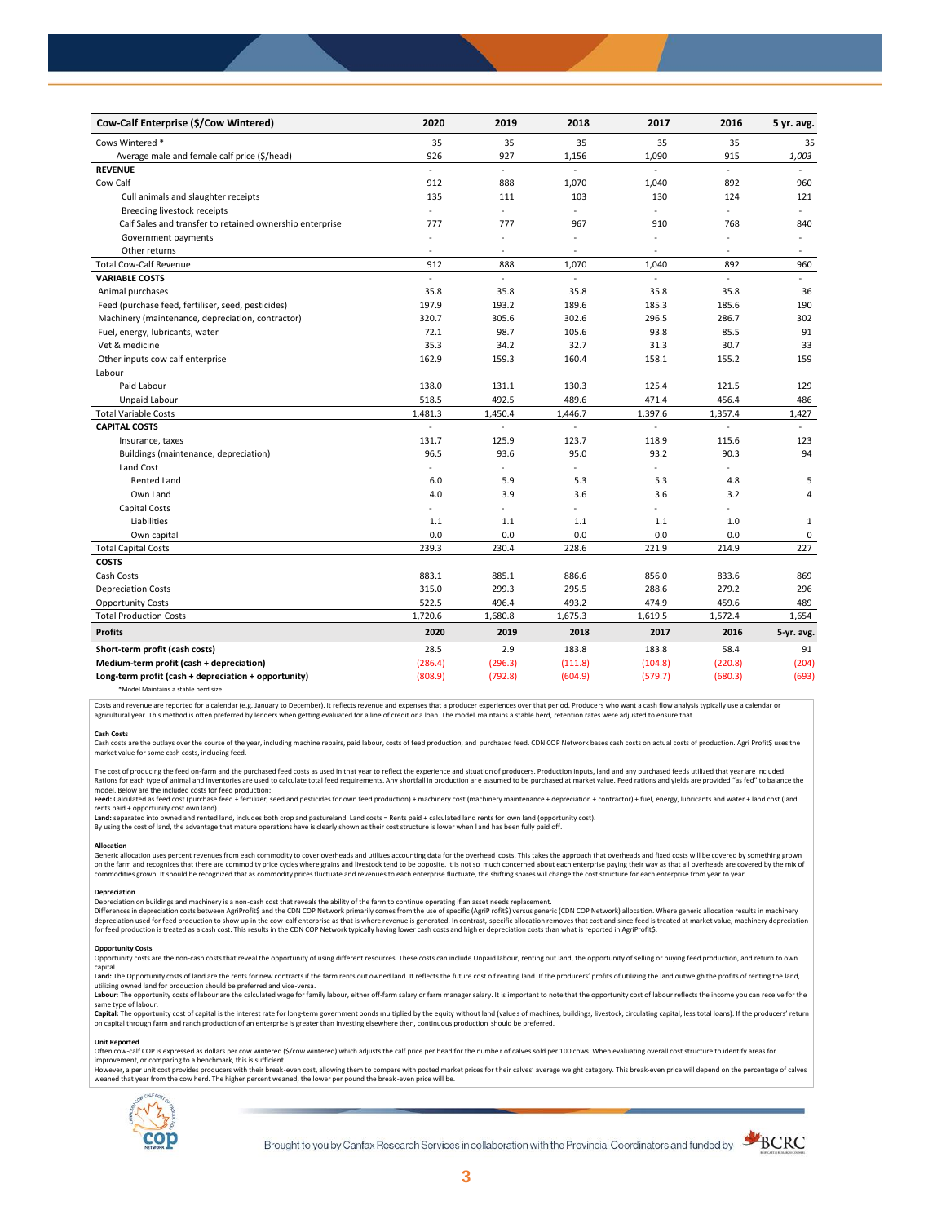| Cow-Calf Enterprise (\$/Cow Wintered)                    | 2020                     | 2019    | 2018                     | 2017           | 2016                     | 5 yr. avg.   |
|----------------------------------------------------------|--------------------------|---------|--------------------------|----------------|--------------------------|--------------|
| Cows Wintered *                                          | 35                       | 35      | 35                       | 35             | 35                       | 35           |
| Average male and female calf price (\$/head)             | 926                      | 927     | 1,156                    | 1,090          | 915                      | 1,003        |
| <b>REVENUE</b>                                           | $\mathbf{r}$             | L.      |                          |                | L.                       |              |
| Cow Calf                                                 | 912                      | 888     | 1,070                    | 1,040          | 892                      | 960          |
| Cull animals and slaughter receipts                      | 135                      | 111     | 103                      | 130            | 124                      | 121          |
| Breeding livestock receipts                              | $\blacksquare$           | L.      | ÷,                       | ÷              | ä,                       | ÷            |
| Calf Sales and transfer to retained ownership enterprise | 777                      | 777     | 967                      | 910            | 768                      | 840          |
| Government payments                                      |                          | ä,      | ä,                       | ä,             |                          | $\sim$       |
| Other returns                                            | $\overline{\phantom{a}}$ | $\sim$  | $\overline{a}$           | $\blacksquare$ | $\sim$                   | $\sim$       |
| <b>Total Cow-Calf Revenue</b>                            | 912                      | 888     | 1,070                    | 1,040          | 892                      | 960          |
| <b>VARIABLE COSTS</b>                                    | ÷                        | L.      | ÷.                       | ÷              | L.                       | $\mathbf{r}$ |
| Animal purchases                                         | 35.8                     | 35.8    | 35.8                     | 35.8           | 35.8                     | 36           |
| Feed (purchase feed, fertiliser, seed, pesticides)       | 197.9                    | 193.2   | 189.6                    | 185.3          | 185.6                    | 190          |
| Machinery (maintenance, depreciation, contractor)        | 320.7                    | 305.6   | 302.6                    | 296.5          | 286.7                    | 302          |
| Fuel, energy, lubricants, water                          | 72.1                     | 98.7    | 105.6                    | 93.8           | 85.5                     | 91           |
| Vet & medicine                                           | 35.3                     | 34.2    | 32.7                     | 31.3           | 30.7                     | 33           |
| Other inputs cow calf enterprise                         | 162.9                    | 159.3   | 160.4                    | 158.1          | 155.2                    | 159          |
| Labour                                                   |                          |         |                          |                |                          |              |
| Paid Labour                                              | 138.0                    | 131.1   | 130.3                    | 125.4          | 121.5                    | 129          |
| Unpaid Labour                                            | 518.5                    | 492.5   | 489.6                    | 471.4          | 456.4                    | 486          |
| <b>Total Variable Costs</b>                              | 1,481.3                  | 1,450.4 | 1,446.7                  | 1,397.6        | 1,357.4                  | 1,427        |
| <b>CAPITAL COSTS</b>                                     | ä,                       | ÷       | $\mathbf{r}$             | $\overline{a}$ | $\overline{\phantom{a}}$ | $\sim$       |
| Insurance, taxes                                         | 131.7                    | 125.9   | 123.7                    | 118.9          | 115.6                    | 123          |
| Buildings (maintenance, depreciation)                    | 96.5                     | 93.6    | 95.0                     | 93.2           | 90.3                     | 94           |
| Land Cost                                                |                          |         |                          | ä,             |                          |              |
| <b>Rented Land</b>                                       | 6.0                      | 5.9     | 5.3                      | 5.3            | 4.8                      | 5            |
| Own Land                                                 | 4.0                      | 3.9     | 3.6                      | 3.6            | 3.2                      | 4            |
| Capital Costs                                            |                          | ٠       | $\overline{\phantom{0}}$ | ٠              |                          |              |
| Liabilities                                              | 1.1                      | 1.1     | 1.1                      | 1.1            | 1.0                      | $\mathbf 1$  |
| Own capital                                              | 0.0                      | 0.0     | 0.0                      | 0.0            | 0.0                      | 0            |
| <b>Total Capital Costs</b>                               | 239.3                    | 230.4   | 228.6                    | 221.9          | 214.9                    | 227          |
| <b>COSTS</b>                                             |                          |         |                          |                |                          |              |
| Cash Costs                                               | 883.1                    | 885.1   | 886.6                    | 856.0          | 833.6                    | 869          |
| <b>Depreciation Costs</b>                                | 315.0                    | 299.3   | 295.5                    | 288.6          | 279.2                    | 296          |
| <b>Opportunity Costs</b>                                 | 522.5                    | 496.4   | 493.2                    | 474.9          | 459.6                    | 489          |
| <b>Total Production Costs</b>                            | 1,720.6                  | 1,680.8 | 1,675.3                  | 1,619.5        | 1,572.4                  | 1,654        |
| <b>Profits</b>                                           | 2020                     | 2019    | 2018                     | 2017           | 2016                     | 5-yr. avg.   |
| Short-term profit (cash costs)                           | 28.5                     | 2.9     | 183.8                    | 183.8          | 58.4                     | 91           |
| Medium-term profit (cash + depreciation)                 | (286.4)                  | (296.3) | (111.8)                  | (104.8)        | (220.8)                  | (204)        |
| Long-term profit (cash + depreciation + opportunity)     | (808.9)                  | (792.8) | (604.9)                  | (579.7)        | (680.3)                  | (693)        |
| *Model Maintains a stable herd size                      |                          |         |                          |                |                          |              |

Costs and revenue are reported for a calendar (e.g. January to December). It reflects revenue and expenses that a producer experiences over that period. Producers who want a cash flow analysis typically use a calendar or agricultural year. This method is often preferred by lenders when getting evaluated for a line of credit or a loan. The model maintains a stable herd, retention rates were adjusted to ensure that

C<mark>ash Costs</mark><br>Cash costs are the outlays over the course of the year, including machine repairs, paid labour, costs of feed production, and purchased feed. CDN COP Network bases cash costs on actual costs of production. Agr market value for some cash costs, including feed.

The cost of producing the feed on-farm and the purchased feed costs as used in that year to reflect the experience and situation of producers. Production inputs, land and any purchased feeds utilized that year are included model. Below are the included costs for feed production:

moder.outwhat was made used to receip would continuour.<br>**Feed:** Calculated as feed cost (purchase feed + fertilizer, seed and pesticides for own feed production) + machinery cost (machinery maintenance + depreciation + con rents paid + opportunity cost own land)

**Land:** separated into owned and rented land, includes both crop and pastureland. Land costs = Rents paid + calculated land rents for own land (opportunity cost).

By using the cost of land, the advantage that mature operations have is clearly shown as their cost structure is lower when l and has been fully paid off.

### **Allocation**

Generic allocation uses percent revenues from each commodity to cover overheads and utilizes accounting data for the overhead costs. This takes the approach that overheads and fixed costs will be covered by something grown commodities grown. It should be recognized that as commodity prices fluctuate and revenues to each enterprise fluctuate, the shifting shares will change the cost structure for each enterprise from year to year.

## **Depreciation**

Depreciation on buildings and machinery is a non-cash cost that reveals the ability of the farm to continue operating if an asset needs replacement. Differences in depreciation costs between AgriProfit\$ and the CDN COP Network primarily comes from the use of specific (AgriP rofit\$) versus generic (CDN COP Network) allocation. Where generic allocation results in machine

#### **Opportunity Costs**

Provincing COSS are the non-cash costs that reveal the opportunity of using different resources. These costs can include Unpaid labour, renting out land, the opportunity of selling or buying feed production, and return to capital.

required.<br>Land: The Opportunity costs of land are the rents for new contracts if the farm rents out owned land. It reflects the future cost of renting land. If the producers' profits of utilizing the land outweigh the prof utilizing owned land for production should be preferred and vice-versa.<br>**Labour:** The opportunity costs of labour are the calculated wage for family labour, either off-farm salary or farm manager salary. It is important to

same type of labour.

**Capita**l: The opportunity cost of capital is the interest rate for long-term government bonds multiplied by the equity without land (values of machines, buildings, livestock, circulating capital, less total loans). If the

## **Unit Reported**

Often cow-calf COP is expressed as dollars per cow wintered (\$/cow wintered) which adjusts the calf price per head for the number of calves sold per 100 cows. When evaluating overall cost structure to identify areas for<br>im

however..export of the structure with the structure of the break-even cost. allowing them to compare with posted market prices for their calves' average weight category. This break-even price will depend on the percentage weaned that year from the cow herd. The higher percent weaned, the lower per pound the break -even price will be.



Brought to you by Canfax Research Services in collaboration with the Provincial Coordinators and funded by